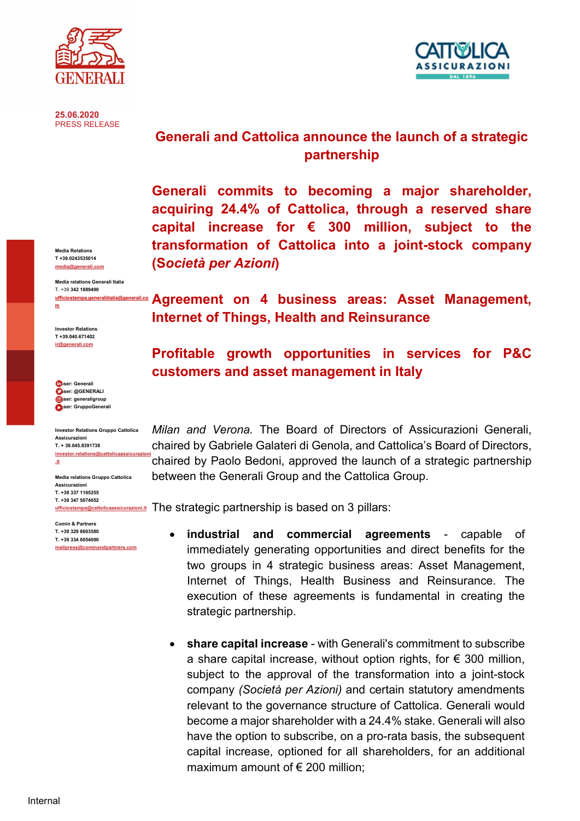

25.06.2020 PRESS RELEASE



Media relations Generali Italia T. +39 342 1889490 ufficio

Investor Relations T +39.040.671402 ir@generali.com

m

 user: Generali user: @GENERALI **D**user: generaligroup ser: GruppoGenerali

Investor Relations Gruppo Cattolica Assicurazioni T. + 39.045.8391738 investor.relations@cattolicaassicurazi .it

Media relations Gruppo Cattolica Assicurazioni T. +39 337 1165255 T. +39 347 5074052

Comin & Partners T. +39 329 8603580 T. +39 334 6054090 mailpress@cominandpartners.com



SSICURATION

Generali commits to becoming a major shareholder, acquiring 24.4% of Cattolica, through a reserved share capital increase for  $\epsilon$  300 million, subject to the transformation of Cattolica into a joint-stock company (Società per Azioni)

# Agreement on 4 business areas: Asset Management, Internet of Things, Health and Reinsurance

# Profitable growth opportunities in services for P&C customers and asset management in Italy

Milan and Verona. The Board of Directors of Assicurazioni Generali, chaired by Gabriele Galateri di Genola, and Cattolica's Board of Directors, chaired by Paolo Bedoni, approved the launch of a strategic partnership between the Generali Group and the Cattolica Group.

**ufficiostampa@cattolicaassicurazioni.it The strategic partnership is based on 3 pillars:** 

- industrial and commercial agreements capable of immediately generating opportunities and direct benefits for the two groups in 4 strategic business areas: Asset Management, Internet of Things, Health Business and Reinsurance. The execution of these agreements is fundamental in creating the strategic partnership.
- share capital increase with Generali's commitment to subscribe a share capital increase, without option rights, for  $\epsilon$  300 million, subject to the approval of the transformation into a joint-stock company (Società per Azioni) and certain statutory amendments relevant to the governance structure of Cattolica. Generali would become a major shareholder with a 24.4% stake. Generali will also have the option to subscribe, on a pro-rata basis, the subsequent capital increase, optioned for all shareholders, for an additional maximum amount of  $\epsilon$  200 million:

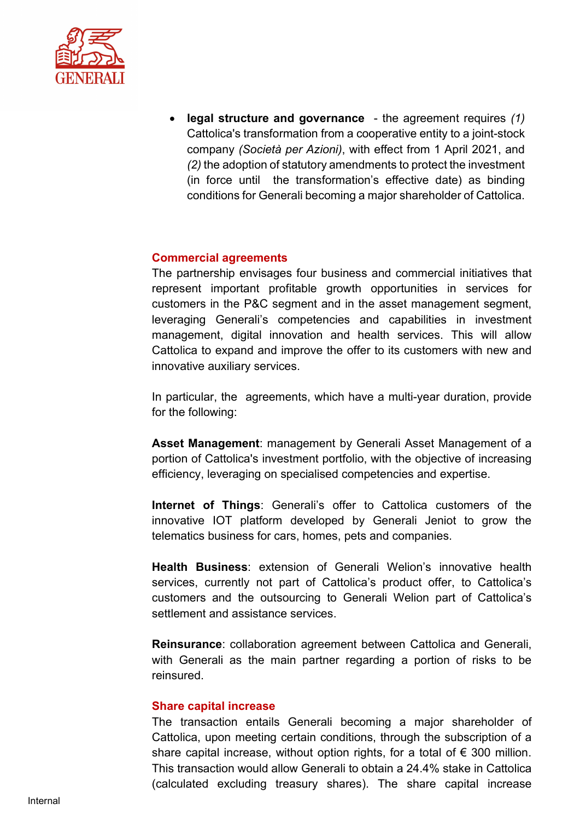

 legal structure and governance - the agreement requires (1) Cattolica's transformation from a cooperative entity to a joint-stock company (Società per Azioni), with effect from 1 April 2021, and (2) the adoption of statutory amendments to protect the investment (in force until the transformation's effective date) as binding conditions for Generali becoming a major shareholder of Cattolica.

### Commercial agreements

The partnership envisages four business and commercial initiatives that represent important profitable growth opportunities in services for customers in the P&C segment and in the asset management segment, leveraging Generali's competencies and capabilities in investment management, digital innovation and health services. This will allow Cattolica to expand and improve the offer to its customers with new and innovative auxiliary services.

In particular, the agreements, which have a multi-year duration, provide for the following:

Asset Management: management by Generali Asset Management of a portion of Cattolica's investment portfolio, with the objective of increasing efficiency, leveraging on specialised competencies and expertise.

Internet of Things: Generali's offer to Cattolica customers of the innovative IOT platform developed by Generali Jeniot to grow the telematics business for cars, homes, pets and companies.

Health Business: extension of Generali Welion's innovative health services, currently not part of Cattolica's product offer, to Cattolica's customers and the outsourcing to Generali Welion part of Cattolica's settlement and assistance services.

Reinsurance: collaboration agreement between Cattolica and Generali, with Generali as the main partner regarding a portion of risks to be reinsured.

#### Share capital increase

The transaction entails Generali becoming a major shareholder of Cattolica, upon meeting certain conditions, through the subscription of a share capital increase, without option rights, for a total of  $\epsilon$  300 million. This transaction would allow Generali to obtain a 24.4% stake in Cattolica (calculated excluding treasury shares). The share capital increase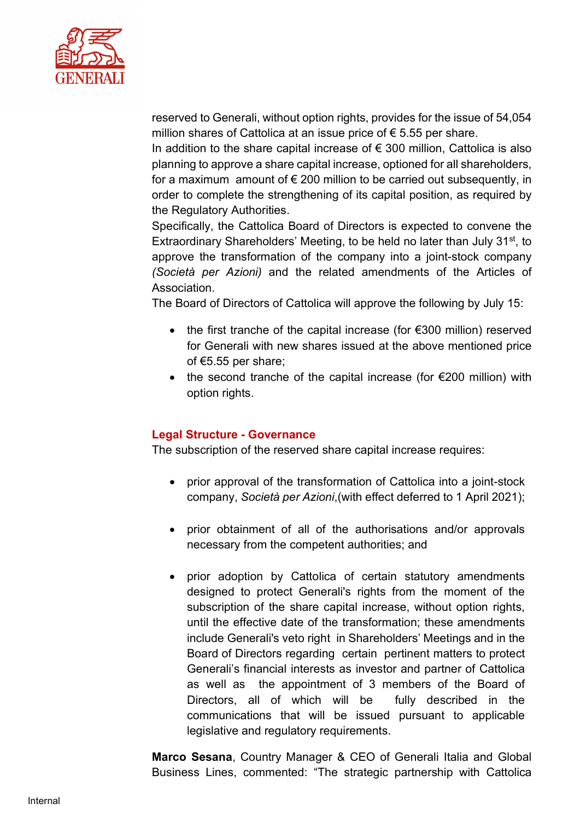

reserved to Generali, without option rights, provides for the issue of 54,054 million shares of Cattolica at an issue price of  $\epsilon$  5.55 per share.

In addition to the share capital increase of  $\epsilon$  300 million, Cattolica is also planning to approve a share capital increase, optioned for all shareholders, for a maximum amount of  $\epsilon$  200 million to be carried out subsequently, in order to complete the strengthening of its capital position, as required by the Regulatory Authorities.

Specifically, the Cattolica Board of Directors is expected to convene the Extraordinary Shareholders' Meeting, to be held no later than July 31<sup>st</sup>, to approve the transformation of the company into a joint-stock company (Società per Azioni) and the related amendments of the Articles of Association.

The Board of Directors of Cattolica will approve the following by July 15:

- the first tranche of the capital increase (for €300 million) reserved for Generali with new shares issued at the above mentioned price of €5.55 per share;
- the second tranche of the capital increase (for  $\epsilon$ 200 million) with option rights.

### Legal Structure - Governance

The subscription of the reserved share capital increase requires:

- prior approval of the transformation of Cattolica into a joint-stock company, Società per Azioni,(with effect deferred to 1 April 2021);
- prior obtainment of all of the authorisations and/or approvals necessary from the competent authorities; and
- prior adoption by Cattolica of certain statutory amendments designed to protect Generali's rights from the moment of the subscription of the share capital increase, without option rights, until the effective date of the transformation; these amendments include Generali's veto right in Shareholders' Meetings and in the Board of Directors regarding certain pertinent matters to protect Generali's financial interests as investor and partner of Cattolica as well as the appointment of 3 members of the Board of Directors, all of which will be fully described in the communications that will be issued pursuant to applicable legislative and regulatory requirements.

Marco Sesana, Country Manager & CEO of Generali Italia and Global Business Lines, commented: "The strategic partnership with Cattolica